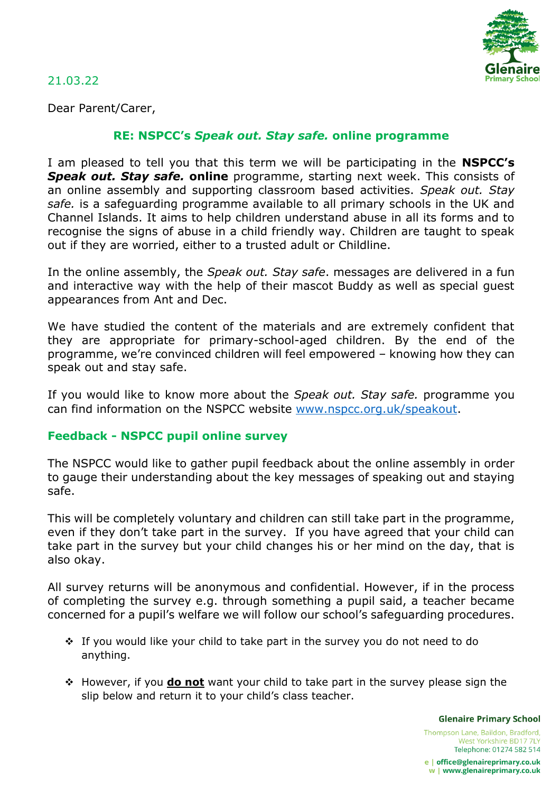

21.03.22

Dear Parent/Carer,

## **RE: NSPCC's** *Speak out. Stay safe.* **online programme**

I am pleased to tell you that this term we will be participating in the **NSPCC's Speak out. Stay safe. online** programme, starting next week. This consists of an online assembly and supporting classroom based activities. *Speak out. Stay safe.* is a safeguarding programme available to all primary schools in the UK and Channel Islands. It aims to help children understand abuse in all its forms and to recognise the signs of abuse in a child friendly way. Children are taught to speak out if they are worried, either to a trusted adult or Childline.

In the online assembly, the *Speak out. Stay safe*. messages are delivered in a fun and interactive way with the help of their mascot Buddy as well as special guest appearances from Ant and Dec.

We have studied the content of the materials and are extremely confident that they are appropriate for primary-school-aged children. By the end of the programme, we're convinced children will feel empowered – knowing how they can speak out and stay safe.

If you would like to know more about the *Speak out. Stay safe.* programme you can find information on the NSPCC website [www.nspcc.org.uk/speakout.](http://www.nspcc.org.uk/speakout)

## **Feedback - NSPCC pupil online survey**

The NSPCC would like to gather pupil feedback about the online assembly in order to gauge their understanding about the key messages of speaking out and staying safe.

This will be completely voluntary and children can still take part in the programme, even if they don't take part in the survey. If you have agreed that your child can take part in the survey but your child changes his or her mind on the day, that is also okay.

All survey returns will be anonymous and confidential. However, if in the process of completing the survey e.g. through something a pupil said, a teacher became concerned for a pupil's welfare we will follow our school's safeguarding procedures.

- \* If you would like your child to take part in the survey you do not need to do anything.
- However, if you **do not** want your child to take part in the survey please sign the slip below and return it to your child's class teacher.

**Glenaire Primary School** 

Thompson Lane, Baildon, Bradford, West Yorkshire BD17 7LY Telephone: 01274 582 514

e | office@glenaireprimary.co.uk w | www.glenaireprimary.co.uk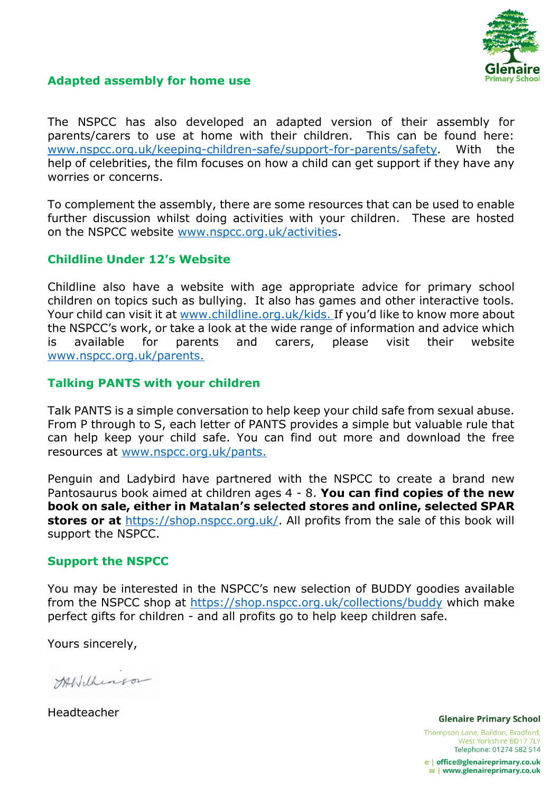

# **Adapted assembly for home use**

The NSPCC has also developed an adapted version of their assembly for parents/carers to use at home with their children. This can be found here: [www.nspcc.org.uk/keeping-children-safe/support-for-parents/safety.](http://www.nspcc.org.uk/keeping-children-safe/support-for-parents/safety) With the help of celebrities, the film focuses on how a child can get support if they have any worries or concerns.

To complement the assembly, there are some resources that can be used to enable further discussion whilst doing activities with your children. These are hosted on the NSPCC website [www.nspcc.org.uk/activities.](http://www.nspcc.org.uk/activities)

### **Childline Under 12's Website**

Childline also have a website with age appropriate advice for primary school children on topics such as bullying. It also has games and other interactive tools. Your child can visit it at [www.childline.org.uk/kids.](http://www.childline.org.uk/kids) If you'd like to know more about the NSPCC's work, or take a look at the wide range of information and advice which is available for parents and carers, please visit their website [www.nspcc.org.uk/parents.](http://www.nspcc.org.uk/parents)

### **Talking PANTS with your children**

Talk PANTS is a simple conversation to help keep your child safe from sexual abuse. From P through to S, each letter of PANTS provides a simple but valuable rule that can help keep your child safe. You can find out more and download the free resources at [www.nspcc.org.uk/pants.](http://www.nspcc.org.uk/pants)

Penguin and Ladybird have partnered with the NSPCC to create a brand new Pantosaurus book aimed at children ages 4 - 8. **You can find copies of the new book on sale, either in Matalan's selected stores and online, selected SPAR stores or at** [https://shop.nspcc.org.uk/.](https://shop.nspcc.org.uk/) All profits from the sale of this book will support the NSPCC.

#### **Support the NSPCC**

You may be interested in the NSPCC's new selection of BUDDY goodies available from the NSPCC shop at<https://shop.nspcc.org.uk/collections/buddy> which make perfect gifts for children - and all profits go to help keep children safe.

Yours sincerely,

Atbilheason

Headteacher

**Glenaire Primary School** 

Thompson Lane, Baildon, Bradford, West Yorkshire BD17 7LY Telephone: 01274 582 514

e | office@glenaireprimary.co.uk w | www.glenaireprimary.co.uk